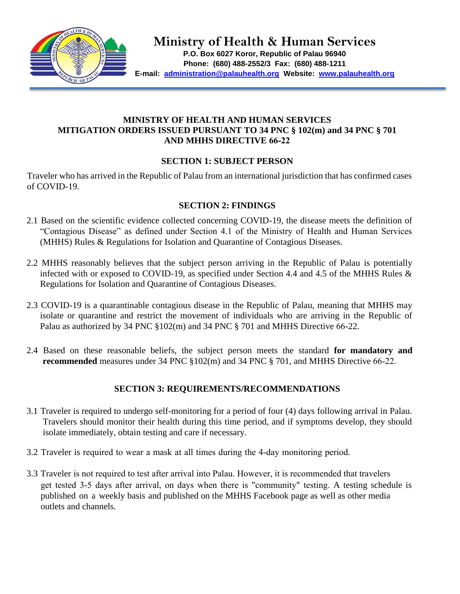

**Ministry of Health & Human Services**

**P.O. Box 6027 Koror, Republic of Palau 96940 Phone: (680) 488-2552/3 Fax: (680) 488-1211 E-mail: administration@palauhealth.org Website: [www.palauhealth.org](http://www.palauhealth.org/)**

## **MINISTRY OF HEALTH AND HUMAN SERVICES MITIGATION ORDERS ISSUED PURSUANT TO 34 PNC § 102(m) and 34 PNC § 701 AND MHHS DIRECTIVE 66-22**

## **SECTION 1: SUBJECT PERSON**

Traveler who has arrived in the Republic of Palau from an international jurisdiction that has confirmed cases of COVID-19.

## **SECTION 2: FINDINGS**

- 2.1 Based on the scientific evidence collected concerning COVID-19, the disease meets the definition of "Contagious Disease" as defined under Section 4.1 of the Ministry of Health and Human Services (MHHS) Rules & Regulations for Isolation and Quarantine of Contagious Diseases.
- 2.2 MHHS reasonably believes that the subject person arriving in the Republic of Palau is potentially infected with or exposed to COVID-19, as specified under Section 4.4 and 4.5 of the MHHS Rules & Regulations for Isolation and Quarantine of Contagious Diseases.
- 2.3 COVID-19 is a quarantinable contagious disease in the Republic of Palau, meaning that MHHS may isolate or quarantine and restrict the movement of individuals who are arriving in the Republic of Palau as authorized by 34 PNC §102(m) and 34 PNC § 701 and MHHS Directive 66-22.
- 2.4 Based on these reasonable beliefs, the subject person meets the standard **for mandatory and recommended** measures under 34 PNC §102(m) and 34 PNC § 701, and MHHS Directive 66-22.

# **SECTION 3: REQUIREMENTS/RECOMMENDATIONS**

- 3.1 Traveler is required to undergo self-monitoring for a period of four (4) days following arrival in Palau. Travelers should monitor their health during this time period, and if symptoms develop, they should isolate immediately, obtain testing and care if necessary.
- 3.2 Traveler is required to wear a mask at all times during the 4-day monitoring period.
- 3.3 Traveler is not required to test after arrival into Palau. However, it is recommended that travelers get tested 3-5 days after arrival, on days when there is "community" testing. A testing schedule is published on a weekly basis and published on the MHHS Facebook page as well as other media outlets and channels.